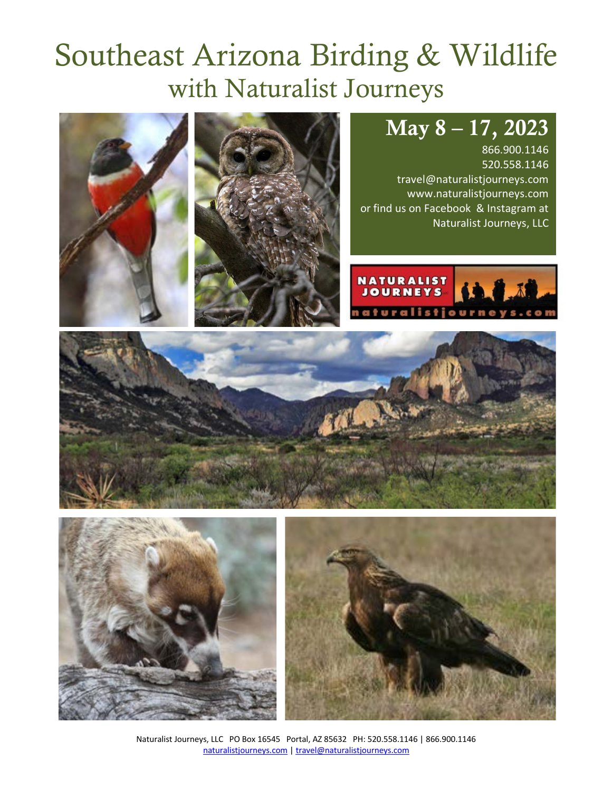# Southeast Arizona Birding & Wildlife with Naturalist Journeys

# May 8 – 17, 2023

866.900.1146 520.558.1146 travel@naturalistjourneys.com www.naturalistjourneys.com or find us on Facebook & Instagram at Naturalist Journeys, LLC













Naturalist Journeys, LLC PO Box 16545 Portal, AZ 85632 PH: 520.558.1146 | 866.900.1146 naturalistjourneys.com | travel@naturalistjourneys.com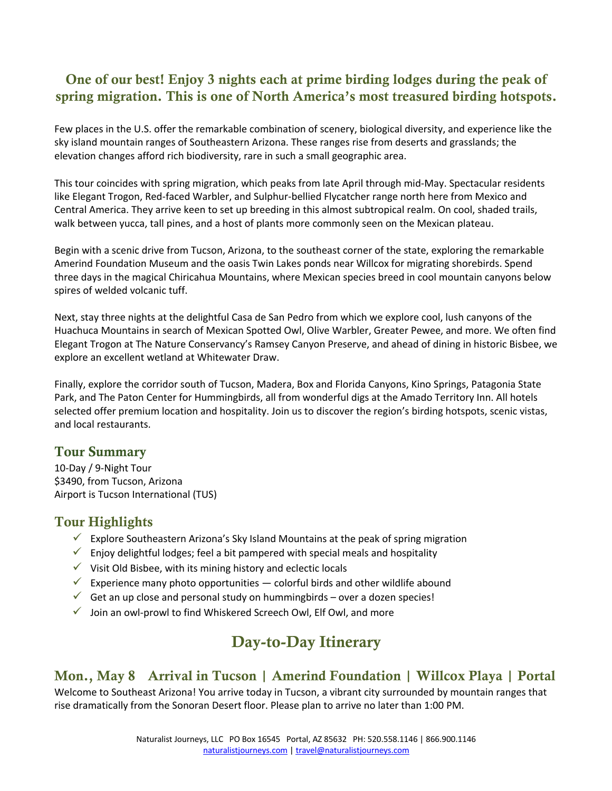# One of our best! Enjoy 3 nights each at prime birding lodges during the peak of spring migration. This is one of North America's most treasured birding hotspots.

Few places in the U.S. offer the remarkable combination of scenery, biological diversity, and experience like the sky island mountain ranges of Southeastern Arizona. These ranges rise from deserts and grasslands; the elevation changes afford rich biodiversity, rare in such a small geographic area.

This tour coincides with spring migration, which peaks from late April through mid-May. Spectacular residents like Elegant Trogon, Red-faced Warbler, and Sulphur-bellied Flycatcher range north here from Mexico and Central America. They arrive keen to set up breeding in this almost subtropical realm. On cool, shaded trails, walk between yucca, tall pines, and a host of plants more commonly seen on the Mexican plateau.

Begin with a scenic drive from Tucson, Arizona, to the southeast corner of the state, exploring the remarkable Amerind Foundation Museum and the oasis Twin Lakes ponds near Willcox for migrating shorebirds. Spend three days in the magical Chiricahua Mountains, where Mexican species breed in cool mountain canyons below spires of welded volcanic tuff.

Next, stay three nights at the delightful Casa de San Pedro from which we explore cool, lush canyons of the Huachuca Mountains in search of Mexican Spotted Owl, Olive Warbler, Greater Pewee, and more. We often find Elegant Trogon at The Nature Conservancy's Ramsey Canyon Preserve, and ahead of dining in historic Bisbee, we explore an excellent wetland at Whitewater Draw.

Finally, explore the corridor south of Tucson, Madera, Box and Florida Canyons, Kino Springs, Patagonia State Park, and The Paton Center for Hummingbirds, all from wonderful digs at the Amado Territory Inn. All hotels selected offer premium location and hospitality. Join us to discover the region's birding hotspots, scenic vistas, and local restaurants.

#### Tour Summary

10-Day / 9-Night Tour \$3490, from Tucson, Arizona Airport is Tucson International (TUS)

#### Tour Highlights

- Explore Southeastern Arizona's Sky Island Mountains at the peak of spring migration
- $\checkmark$  Enjoy delightful lodges; feel a bit pampered with special meals and hospitality
- $\checkmark$  Visit Old Bisbee, with its mining history and eclectic locals
- Experience many photo opportunities colorful birds and other wildlife abound
- $\checkmark$  Get an up close and personal study on hummingbirds over a dozen species!
- $\checkmark$  Join an owl-prowl to find Whiskered Screech Owl, Elf Owl, and more

# Day-to-Day Itinerary

# Mon., May 8 Arrival in Tucson | Amerind Foundation | Willcox Playa | Portal

Welcome to Southeast Arizona! You arrive today in Tucson, a vibrant city surrounded by mountain ranges that rise dramatically from the Sonoran Desert floor. Please plan to arrive no later than 1:00 PM.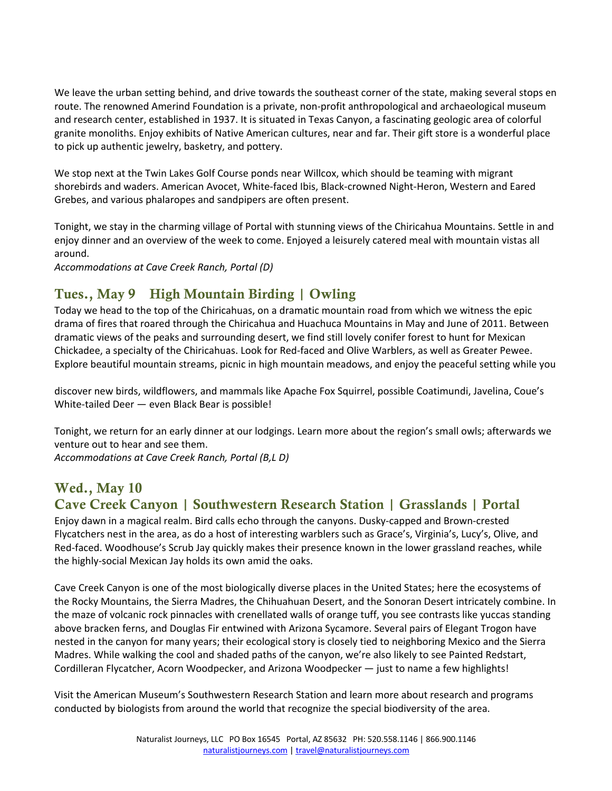We leave the urban setting behind, and drive towards the southeast corner of the state, making several stops en route. The renowned Amerind Foundation is a private, non-profit anthropological and archaeological museum and research center, established in 1937. It is situated in Texas Canyon, a fascinating geologic area of colorful granite monoliths. Enjoy exhibits of Native American cultures, near and far. Their gift store is a wonderful place to pick up authentic jewelry, basketry, and pottery.

We stop next at the Twin Lakes Golf Course ponds near Willcox, which should be teaming with migrant shorebirds and waders. American Avocet, White-faced Ibis, Black-crowned Night-Heron, Western and Eared Grebes, and various phalaropes and sandpipers are often present.

Tonight, we stay in the charming village of Portal with stunning views of the Chiricahua Mountains. Settle in and enjoy dinner and an overview of the week to come. Enjoyed a leisurely catered meal with mountain vistas all around.

*Accommodations at Cave Creek Ranch, Portal (D)*

# Tues., May 9 High Mountain Birding | Owling

Today we head to the top of the Chiricahuas, on a dramatic mountain road from which we witness the epic drama of fires that roared through the Chiricahua and Huachuca Mountains in May and June of 2011. Between dramatic views of the peaks and surrounding desert, we find still lovely conifer forest to hunt for Mexican Chickadee, a specialty of the Chiricahuas. Look for Red-faced and Olive Warblers, as well as Greater Pewee. Explore beautiful mountain streams, picnic in high mountain meadows, and enjoy the peaceful setting while you

discover new birds, wildflowers, and mammals like Apache Fox Squirrel, possible Coatimundi, Javelina, Coue's White-tailed Deer — even Black Bear is possible!

Tonight, we return for an early dinner at our lodgings. Learn more about the region's small owls; afterwards we venture out to hear and see them.

*Accommodations at Cave Creek Ranch, Portal (B,L D)*

# Wed., May 10

# Cave Creek Canyon | Southwestern Research Station | Grasslands | Portal

Enjoy dawn in a magical realm. Bird calls echo through the canyons. Dusky-capped and Brown-crested Flycatchers nest in the area, as do a host of interesting warblers such as Grace's, Virginia's, Lucy's, Olive, and Red-faced. Woodhouse's Scrub Jay quickly makes their presence known in the lower grassland reaches, while the highly-social Mexican Jay holds its own amid the oaks.

Cave Creek Canyon is one of the most biologically diverse places in the United States; here the ecosystems of the Rocky Mountains, the Sierra Madres, the Chihuahuan Desert, and the Sonoran Desert intricately combine. In the maze of volcanic rock pinnacles with crenellated walls of orange tuff, you see contrasts like yuccas standing above bracken ferns, and Douglas Fir entwined with Arizona Sycamore. Several pairs of Elegant Trogon have nested in the canyon for many years; their ecological story is closely tied to neighboring Mexico and the Sierra Madres. While walking the cool and shaded paths of the canyon, we're also likely to see Painted Redstart, Cordilleran Flycatcher, Acorn Woodpecker, and Arizona Woodpecker — just to name a few highlights!

Visit the American Museum's Southwestern Research Station and learn more about research and programs conducted by biologists from around the world that recognize the special biodiversity of the area.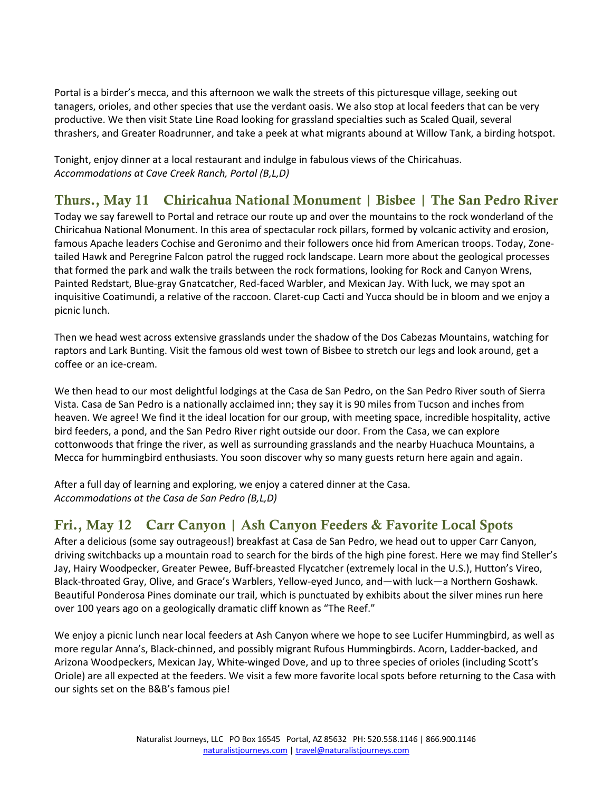Portal is a birder's mecca, and this afternoon we walk the streets of this picturesque village, seeking out tanagers, orioles, and other species that use the verdant oasis. We also stop at local feeders that can be very productive. We then visit State Line Road looking for grassland specialties such as Scaled Quail, several thrashers, and Greater Roadrunner, and take a peek at what migrants abound at Willow Tank, a birding hotspot.

Tonight, enjoy dinner at a local restaurant and indulge in fabulous views of the Chiricahuas. *Accommodations at Cave Creek Ranch, Portal (B,L,D)*

# Thurs., May 11 Chiricahua National Monument | Bisbee | The San Pedro River

Today we say farewell to Portal and retrace our route up and over the mountains to the rock wonderland of the Chiricahua National Monument. In this area of spectacular rock pillars, formed by volcanic activity and erosion, famous Apache leaders Cochise and Geronimo and their followers once hid from American troops. Today, Zonetailed Hawk and Peregrine Falcon patrol the rugged rock landscape. Learn more about the geological processes that formed the park and walk the trails between the rock formations, looking for Rock and Canyon Wrens, Painted Redstart, Blue-gray Gnatcatcher, Red-faced Warbler, and Mexican Jay. With luck, we may spot an inquisitive Coatimundi, a relative of the raccoon. Claret-cup Cacti and Yucca should be in bloom and we enjoy a picnic lunch.

Then we head west across extensive grasslands under the shadow of the Dos Cabezas Mountains, watching for raptors and Lark Bunting. Visit the famous old west town of Bisbee to stretch our legs and look around, get a coffee or an ice-cream.

We then head to our most delightful lodgings at the Casa de San Pedro, on the San Pedro River south of Sierra Vista. Casa de San Pedro is a nationally acclaimed inn; they say it is 90 miles from Tucson and inches from heaven. We agree! We find it the ideal location for our group, with meeting space, incredible hospitality, active bird feeders, a pond, and the San Pedro River right outside our door. From the Casa, we can explore cottonwoods that fringe the river, as well as surrounding grasslands and the nearby Huachuca Mountains, a Mecca for hummingbird enthusiasts. You soon discover why so many guests return here again and again.

After a full day of learning and exploring, we enjoy a catered dinner at the Casa. *Accommodations at the Casa de San Pedro (B,L,D)* 

# Fri., May 12 Carr Canyon | Ash Canyon Feeders & Favorite Local Spots

After a delicious (some say outrageous!) breakfast at Casa de San Pedro, we head out to upper Carr Canyon, driving switchbacks up a mountain road to search for the birds of the high pine forest. Here we may find Steller's Jay, Hairy Woodpecker, Greater Pewee, Buff-breasted Flycatcher (extremely local in the U.S.), Hutton's Vireo, Black-throated Gray, Olive, and Grace's Warblers, Yellow-eyed Junco, and—with luck—a Northern Goshawk. Beautiful Ponderosa Pines dominate our trail, which is punctuated by exhibits about the silver mines run here over 100 years ago on a geologically dramatic cliff known as "The Reef."

We enjoy a picnic lunch near local feeders at Ash Canyon where we hope to see Lucifer Hummingbird, as well as more regular Anna's, Black-chinned, and possibly migrant Rufous Hummingbirds. Acorn, Ladder-backed, and Arizona Woodpeckers, Mexican Jay, White-winged Dove, and up to three species of orioles (including Scott's Oriole) are all expected at the feeders. We visit a few more favorite local spots before returning to the Casa with our sights set on the B&B's famous pie!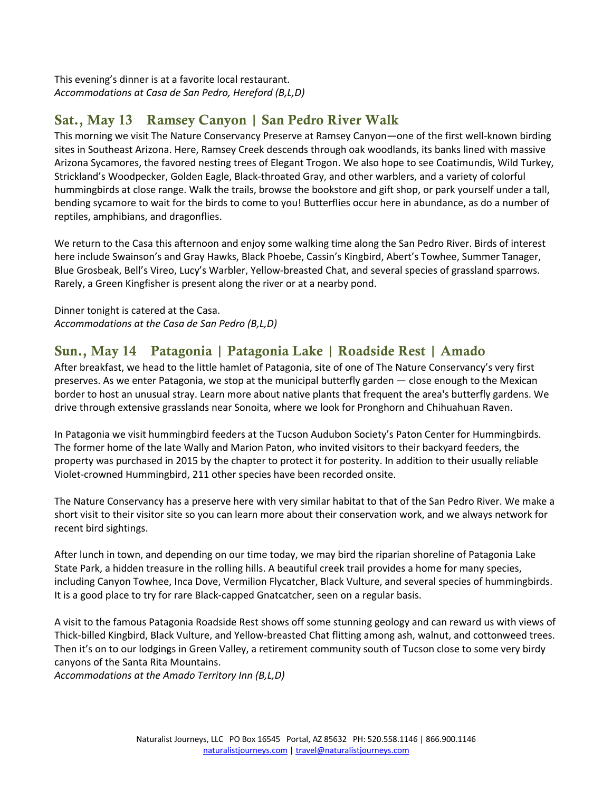This evening's dinner is at a favorite local restaurant. *Accommodations at Casa de San Pedro, Hereford (B,L,D)*

# Sat., May 13 Ramsey Canyon | San Pedro River Walk

This morning we visit The Nature Conservancy Preserve at Ramsey Canyon—one of the first well-known birding sites in Southeast Arizona. Here, Ramsey Creek descends through oak woodlands, its banks lined with massive Arizona Sycamores, the favored nesting trees of Elegant Trogon. We also hope to see Coatimundis, Wild Turkey, Strickland's Woodpecker, Golden Eagle, Black-throated Gray, and other warblers, and a variety of colorful hummingbirds at close range. Walk the trails, browse the bookstore and gift shop, or park yourself under a tall, bending sycamore to wait for the birds to come to you! Butterflies occur here in abundance, as do a number of reptiles, amphibians, and dragonflies.

We return to the Casa this afternoon and enjoy some walking time along the San Pedro River. Birds of interest here include Swainson's and Gray Hawks, Black Phoebe, Cassin's Kingbird, Abert's Towhee, Summer Tanager, Blue Grosbeak, Bell's Vireo, Lucy's Warbler, Yellow-breasted Chat, and several species of grassland sparrows. Rarely, a Green Kingfisher is present along the river or at a nearby pond.

Dinner tonight is catered at the Casa. *Accommodations at the Casa de San Pedro (B,L,D)*

# Sun., May 14 Patagonia | Patagonia Lake | Roadside Rest | Amado

After breakfast, we head to the little hamlet of Patagonia, site of one of The Nature Conservancy's very first preserves. As we enter Patagonia, we stop at the municipal butterfly garden ― close enough to the Mexican border to host an unusual stray. Learn more about native plants that frequent the area's butterfly gardens. We drive through extensive grasslands near Sonoita, where we look for Pronghorn and Chihuahuan Raven.

In Patagonia we visit hummingbird feeders at the Tucson Audubon Society's Paton Center for Hummingbirds. The former home of the late Wally and Marion Paton, who invited visitors to their backyard feeders, the property was purchased in 2015 by the chapter to protect it for posterity. In addition to their usually reliable Violet-crowned Hummingbird, 211 other species have been recorded onsite.

The Nature Conservancy has a preserve here with very similar habitat to that of the San Pedro River. We make a short visit to their visitor site so you can learn more about their conservation work, and we always network for recent bird sightings.

After lunch in town, and depending on our time today, we may bird the riparian shoreline of Patagonia Lake State Park, a hidden treasure in the rolling hills. A beautiful creek trail provides a home for many species, including Canyon Towhee, Inca Dove, Vermilion Flycatcher, Black Vulture, and several species of hummingbirds. It is a good place to try for rare Black-capped Gnatcatcher, seen on a regular basis.

A visit to the famous Patagonia Roadside Rest shows off some stunning geology and can reward us with views of Thick-billed Kingbird, Black Vulture, and Yellow-breasted Chat flitting among ash, walnut, and cottonweed trees. Then it's on to our lodgings in Green Valley, a retirement community south of Tucson close to some very birdy canyons of the Santa Rita Mountains.

*Accommodations at the Amado Territory Inn (B,L,D)*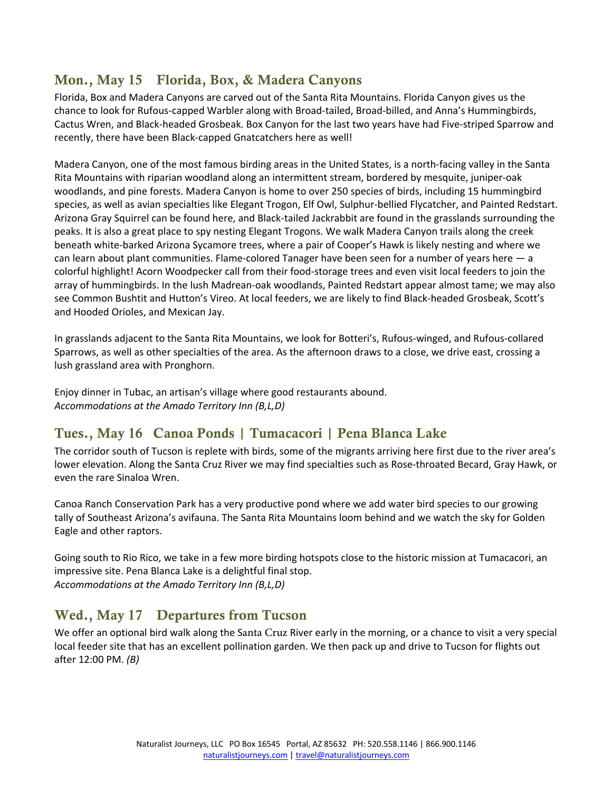# Mon., May 15 Florida, Box, & Madera Canyons

Florida, Box and Madera Canyons are carved out of the Santa Rita Mountains. Florida Canyon gives us the chance to look for Rufous-capped Warbler along with Broad-tailed, Broad-billed, and Anna's Hummingbirds, Cactus Wren, and Black-headed Grosbeak. Box Canyon for the last two years have had Five-striped Sparrow and recently, there have been Black-capped Gnatcatchers here as well!

Madera Canyon, one of the most famous birding areas in the United States, is a north-facing valley in the Santa Rita Mountains with riparian woodland along an intermittent stream, bordered by mesquite, juniper-oak woodlands, and pine forests. Madera Canyon is home to over 250 species of birds, including 15 hummingbird species, as well as avian specialties like Elegant Trogon, Elf Owl, Sulphur-bellied Flycatcher, and Painted Redstart. Arizona Gray Squirrel can be found here, and Black-tailed Jackrabbit are found in the grasslands surrounding the peaks. It is also a great place to spy nesting Elegant Trogons. We walk Madera Canyon trails along the creek beneath white-barked Arizona Sycamore trees, where a pair of Cooper's Hawk is likely nesting and where we can learn about plant communities. Flame-colored Tanager have been seen for a number of years here — a colorful highlight! Acorn Woodpecker call from their food-storage trees and even visit local feeders to join the array of hummingbirds. In the lush Madrean-oak woodlands, Painted Redstart appear almost tame; we may also see Common Bushtit and Hutton's Vireo. At local feeders, we are likely to find Black-headed Grosbeak, Scott's and Hooded Orioles, and Mexican Jay.

In grasslands adjacent to the Santa Rita Mountains, we look for Botteri's, Rufous-winged, and Rufous-collared Sparrows, as well as other specialties of the area. As the afternoon draws to a close, we drive east, crossing a lush grassland area with Pronghorn.

Enjoy dinner in Tubac, an artisan's village where good restaurants abound. *Accommodations at the Amado Territory Inn (B,L,D)* 

# Tues., May 16 Canoa Ponds | Tumacacori | Pena Blanca Lake

The corridor south of Tucson is replete with birds, some of the migrants arriving here first due to the river area's lower elevation. Along the Santa Cruz River we may find specialties such as Rose-throated Becard, Gray Hawk, or even the rare Sinaloa Wren.

Canoa Ranch Conservation Park has a very productive pond where we add water bird species to our growing tally of Southeast Arizona's avifauna. The Santa Rita Mountains loom behind and we watch the sky for Golden Eagle and other raptors.

Going south to Rio Rico, we take in a few more birding hotspots close to the historic mission at Tumacacori, an impressive site. Pena Blanca Lake is a delightful final stop. *Accommodations at the Amado Territory Inn (B,L,D)*

# Wed., May 17 Departures from Tucson

We offer an optional bird walk along the Santa Cruz River early in the morning, or a chance to visit a very special local feeder site that has an excellent pollination garden. We then pack up and drive to Tucson for flights out after 12:00 PM. *(B)*